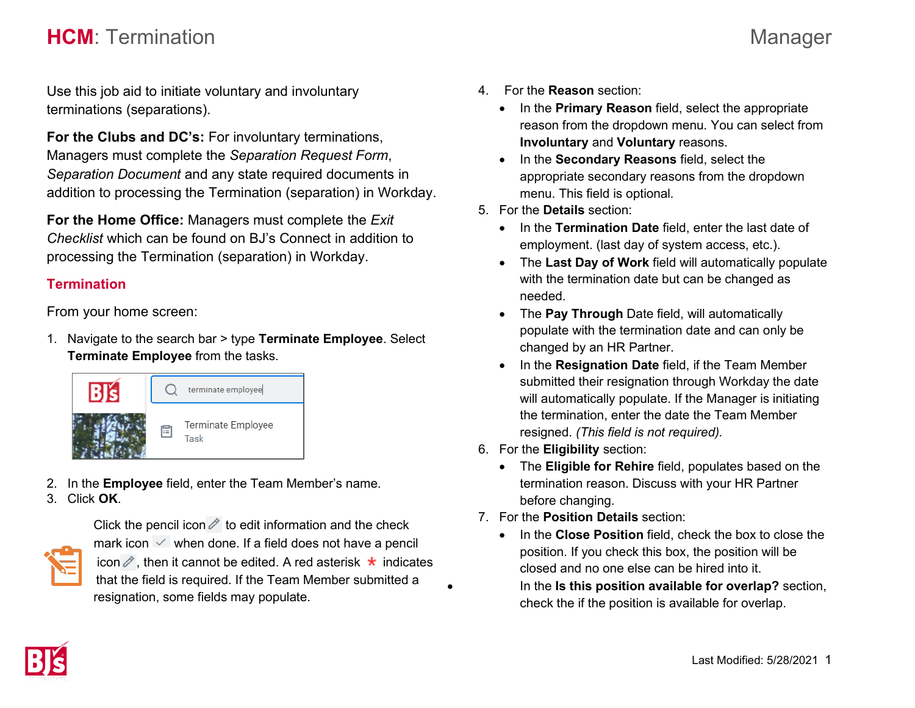## **HCM**: Termination Manager

Use this job aid to initiate voluntary and involuntary terminations (separations).

**For the Clubs and DC's:** For involuntary terminations, Managers must complete the *Separation Request Form*, *Separation Document* and any state required documents in addition to processing the Termination (separation) in Workday.

**For the Home Office:** Managers must complete the *Exit Checklist* which can be found on BJ's Connect in addition to processing the Termination (separation) in Workday.

## **Termination**

From your home screen:

1. Navigate to the search bar > type **Terminate Employee**. Select **Terminate Employee** from the tasks.



2. In the **Employee** field, enter the Team Member's name. 3. Click **OK**.



Click the pencil icon  $\ell$  to edit information and the check mark icon  $\vee$  when done. If a field does not have a pencil icon  $\ell$ , then it cannot be edited. A red asterisk  $\star$  indicates that the field is required. If the Team Member submitted a resignation, some fields may populate.

- 4. For the **Reason** section:
	- In the **Primary Reason** field, select the appropriate reason from the dropdown menu. You can select from **Involuntary** and **Voluntary** reasons.
	- In the **Secondary Reasons** field, select the appropriate secondary reasons from the dropdown menu. This field is optional*.*
- 5. For the **Details** section:
	- In the **Termination Date** field, enter the last date of employment. (last day of system access, etc.).
	- The **Last Day of Work** field will automatically populate with the termination date but can be changed as needed.
	- The **Pay Through** Date field, will automatically populate with the termination date and can only be changed by an HR Partner.
	- In the **Resignation Date** field, if the Team Member submitted their resignation through Workday the date will automatically populate. If the Manager is initiating the termination, enter the date the Team Member resigned. *(This field is not required).*
- 6. For the **Eligibility** section:
	- The **Eligible for Rehire** field, populates based on the termination reason. Discuss with your HR Partner before changing.
- 7. For the **Position Details** section:
	- In the **Close Position** field, check the box to close the position. If you check this box, the position will be closed and no one else can be hired into it. • In the **Is this position available for overlap?** section, check the if the position is available for overlap.